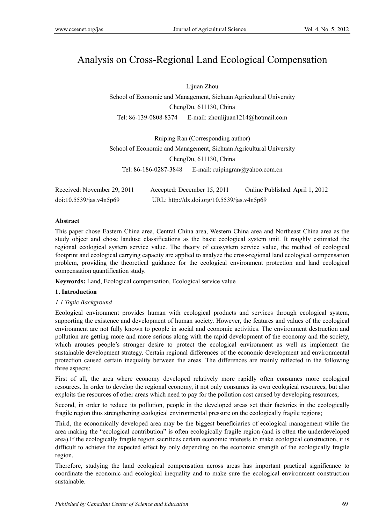# Analysis on Cross-Regional Land Ecological Compensation

Lijuan Zhou

School of Economic and Management, Sichuan Agricultural University ChengDu, 611130, China Tel: 86-139-0808-8374 E-mail: zhoulijuan1214@hotmail.com

Ruiping Ran (Corresponding author) School of Economic and Management, Sichuan Agricultural University ChengDu, 611130, China Tel: 86-186-0287-3848 E-mail: ruipingran@yahoo.com.cn

| Received: November 29, 2011 | Accepted: December 15, 2011                | Online Published: April 1, 2012 |
|-----------------------------|--------------------------------------------|---------------------------------|
| doi:10.5539/jas.v4n5p69     | URL: http://dx.doi.org/10.5539/jas.v4n5p69 |                                 |

# **Abstract**

This paper chose Eastern China area, Central China area, Western China area and Northeast China area as the study object and chose landuse classifications as the basic ecological system unit. It roughly estimated the regional ecological system service value. The theory of ecosystem service value, the method of ecological footprint and ecological carrying capacity are applied to analyze the cross-regional land ecological compensation problem, providing the theoretical guidance for the ecological environment protection and land ecological compensation quantification study.

**Keywords:** Land, Ecological compensation, Ecological service value

# **1. Introduction**

# *1.1 Topic Background*

Ecological environment provides human with ecological products and services through ecological system, supporting the existence and development of human society. However, the features and values of the ecological environment are not fully known to people in social and economic activities. The environment destruction and pollution are getting more and more serious along with the rapid development of the economy and the society, which arouses people's stronger desire to protect the ecological environment as well as implement the sustainable development strategy. Certain regional differences of the economic development and environmental protection caused certain inequality between the areas. The differences are mainly reflected in the following three aspects:

First of all, the area where economy developed relatively more rapidly often consumes more ecological resources. In order to develop the regional economy, it not only consumes its own ecological resources, but also exploits the resources of other areas which need to pay for the pollution cost caused by developing resources;

Second, in order to reduce its pollution, people in the developed areas set their factories in the ecologically fragile region thus strengthening ecological environmental pressure on the ecologically fragile regions;

Third, the economically developed area may be the biggest beneficiaries of ecological management while the area making the "ecological contribution" is often ecologically fragile region (and is often the underdeveloped area).If the ecologically fragile region sacrifices certain economic interests to make ecological construction, it is difficult to achieve the expected effect by only depending on the economic strength of the ecologically fragile region.

Therefore, studying the land ecological compensation across areas has important practical significance to coordinate the economic and ecological inequality and to make sure the ecological environment construction sustainable.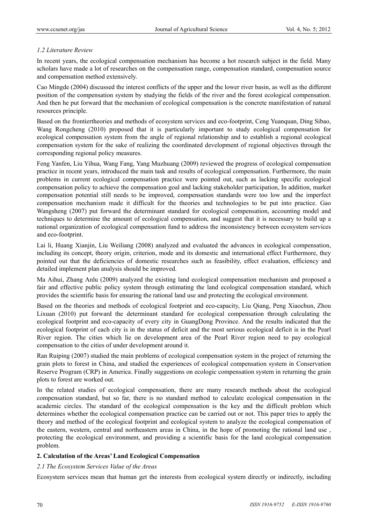# *1.2 Literature Review*

In recent years, the ecological compensation mechanism has become a hot research subject in the field. Many scholars have made a lot of researches on the compensation range, compensation standard, compensation source and compensation method extensively.

Cao Mingde (2004) discussed the interest conflicts of the upper and the lower river basin, as well as the different position of the compensation system by studying the fields of the river and the forest ecological compensation. And then he put forward that the mechanism of ecological compensation is the concrete manifestation of natural resources principle.

Based on the frontiertheories and methods of ecosystem services and eco-footprint, Ceng Yuanquan, Ding Sibao, Wang Rongcheng (2010) proposed that it is particularly important to study ecological compensation for ecological compensation system from the angle of regional relationship and to establish a regional ecological compensation system for the sake of realizing the coordinated development of regional objectives through the corresponding regional policy measures.

Feng Yanfen, Liu Yihua, Wang Fang, Yang Muzhuang (2009) reviewed the progress of ecological compensation practice in recent years, introduced the main task and results of ecological compensation. Furthermore, the main problems in current ecological compensation practice were pointed out, such as lacking specific ecological compensation policy to achieve the compensation goal and lacking stakeholder participation, In addition, market compensation potential still needs to be improved, compensation standards were too low and the imperfect compensation mechanism made it difficult for the theories and technologies to be put into practice. Gao Wangsheng (2007) put forward the determinant standard for ecological compensation, accounting model and techniques to determine the amount of ecological compensation, and suggest that it is necessary to build up a national organization of ecological compensation fund to address the inconsistency between ecosystem services and eco-footprint.

Lai li, Huang Xianjin, Liu Weiliang (2008) analyzed and evaluated the advances in ecological compensation, including its concept, theory origin, criterion, mode and its domestic and international effect Furthermore, they pointed out that the deficiencies of domestic researches such as feasibility, effect evaluation, efficiency and detailed implement plan analysis should be improved.

Ma Aihui, Zhang Anlu (2009) analyzed the existing land ecological compensation mechanism and proposed a fair and effective public policy system through estimating the land ecological compensation standard, which provides the scientific basis for ensuring the rational land use and protecting the ecological environment.

Based on the theories and methods of ecological footprint and eco-capacity, Liu Qiang, Peng Xiaochun, Zhou Lixuan (2010) put forward the determinant standard for ecological compensation through calculating the ecological footprint and eco-capacity of every city in GuangDong Province. And the results indicated that the ecological footprint of each city is in the status of deficit and the most serious ecological deficit is in the Pearl River region. The cities which lie on development area of the Pearl River region need to pay ecological compensation to the cities of under development around it.

Ran Ruiping (2007) studied the main problems of ecological compensation system in the project of returning the grain plots to forest in China, and studied the experiences of ecological compensation system in Conservation Reserve Program (CRP) in America. Finally suggestions on ecologic compensation system in returning the grain plots to forest are worked out.

In the related studies of ecological compensation, there are many research methods about the ecological compensation standard, but so far, there is no standard method to calculate ecological compensation in the academic circles. The standard of the ecological compensation is the key and the difficult problem which determines whether the ecological compensation practice can be carried out or not. This paper tries to apply the theory and method of the ecological footprint and ecological system to analyze the ecological compensation of the eastern, western, central and northeastern areas in China, in the hope of promoting the rational land use , protecting the ecological environment, and providing a scientific basis for the land ecological compensation problem.

# **2. Calculation of the Areas' Land Ecological Compensation**

#### *2.1 The Ecosystem Services Value of the Areas*

Ecosystem services mean that human get the interests from ecological system directly or indirectly, including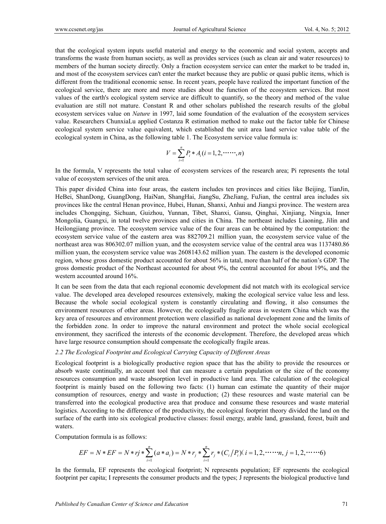that the ecological system inputs useful material and energy to the economic and social system, accepts and transforms the waste from human society, as well as provides services (such as clean air and water resources) to members of the human society directly. Only a fraction ecosystem service can enter the market to be traded in, and most of the ecosystem services can't enter the market because they are public or quasi public items, which is different from the traditional economic sense. In recent years, people have realized the important function of the ecological service, there are more and more studies about the function of the ecosystem services. But most values of the earth's ecological system service are difficult to quantify, so the theory and method of the value evaluation are still not mature. Constant R and other scholars published the research results of the global ecosystem services value on *Nature* in 1997, laid some foundation of the evaluation of the ecosystem services value. Researchers ChunxiaLu applied Costanza R estimation method to make out the factor table for Chinese ecological system service value equivalent, which established the unit area land service value table of the ecological system in China, as the following table 1. The Ecosystem service value formula is:

$$
V = \sum_{i=1}^{n} P_i * A_i (i = 1, 2, \cdots, n)
$$

In the formula, V represents the total value of ecosystem services of the research area; Pi represents the total value of ecosystem services of the unit area.

This paper divided China into four areas, the eastern includes ten provinces and cities like Beijing, TianJin, HeBei, ShanDong, GuangDong, HaiNan, ShangHai, JiangSu, ZheJiang, FuJian, the central area includes six provinces like the central Henan province, Hubei, Hunan, Shanxi, Anhui and Jiangxi province. The western area includes Chongqing, Sichuan, Guizhou, Yunnan, Tibet, Shanxi, Gansu, Qinghai, Xinjiang, Ningxia, Inner Mongolia, Guangxi, in total twelve provinces and cities in China. The northeast includes Liaoning, Jilin and Heilongjiang province. The ecosystem service value of the four areas can be obtained by the computation: the ecosystem service value of the eastern area was 882709.21 million yuan, the ecosystem service value of the northeast area was 806302.07 million yuan, and the ecosystem service value of the central area was 1137480.86 million yuan, the ecosystem service value was 2608143.62 million yuan. The eastern is the developed economic region, whose gross domestic product accounted for about 56% in tatal, more than half of the nation's GDP. The gross domestic product of the Northeast accounted for about 9%, the central accounted for about 19%, and the western accounted around 16%.

It can be seen from the data that each regional economic development did not match with its ecological service value. The developed area developed resources extensively, making the ecological service value less and less. Because the whole social ecological system is constantly circulating and flowing, it also consumes the environment resources of other areas. However, the ecologically fragile areas in western China which was the key area of resources and environment protection were classified as national development zone and the limits of the forbidden zone. In order to improve the natural environment and protect the whole social ecological environment, they sacrificed the interests of the economic development. Therefore, the developed areas which have large resource consumption should compensate the ecologically fragile areas.

#### *2.2 The Ecological Footprint and Ecological Carrying Capacity of Different Areas*

Ecological footprint is a biologically productive region space that has the ability to provide the resources or absorb waste continually, an account tool that can measure a certain population or the size of the economy resources consumption and waste absorption level in productive land area. The calculation of the ecological footprint is mainly based on the following two facts: (1) human can estimate the quantity of their major consumption of resources, energy and waste in production; (2) these resources and waste material can be transferred into the ecological productive area that produce and consume these resources and waste material logistics. According to the difference of the productivity, the ecological footprint theory divided the land on the surface of the earth into six ecological productive classes: fossil energy, arable land, grassland, forest, built and waters.

Computation formula is as follows:

$$
EF = N * EF = N * rj * \sum_{i=1}^{n} (a * a_i) = N * r_j * \sum_{i=1}^{n} r_j * (C_i/P_i)(i = 1, 2, \cdots \cdots n, j = 1, 2, \cdots \cdots 6)
$$

In the formula, EF represents the ecological footprint; N represents population; EF represents the ecological footprint per capita; I represents the consumer products and the types; J represents the biological productive land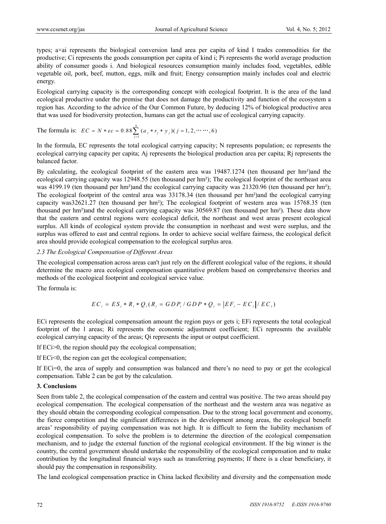types; a×ai represents the biological conversion land area per capita of kind I trades commodities for the productive; Ci represents the goods consumption per capita of kind i; Pi represents the world average production ability of consumer goods i. And biological resources consumption mainly includes food, vegetables, edible vegetable oil, pork, beef, mutton, eggs, milk and fruit; Energy consumption mainly includes coal and electric energy.

Ecological carrying capacity is the corresponding concept with ecological footprint. It is the area of the land ecological productive under the premise that does not damage the productivity and function of the ecosystem a region has. According to the advice of the Our Common Future, by deducing 12% of biological productive area that was used for biodiversity protection, humans can get the actual use of ecological carrying capacity.

The formula is: 
$$
EC = N * ec = 0.88 \sum_{j=1}^{6} (a_j * r_j * y_j)(j = 1, 2, \dots, 6)
$$

In the formula, EC represents the total ecological carrying capacity; N represents population; ec represents the ecological carrying capacity per capita; Aj represents the biological production area per capita; Rj represents the balanced factor.

By calculating, the ecological footprint of the eastern area was 19487.1274 (ten thousand per hm<sup>2</sup>)and the ecological carrying capacity was 12948.55 (ten thousand per hm²); The ecological footprint of the northeast area was 4199.19 (ten thousand per hm<sup>2</sup>)and the ecological carrying capacity was 21320.96 (ten thousand per hm<sup>2</sup>); The ecological footprint of the central area was 33178.34 (ten thousand per hm²)and the ecological carrying capacity was32621.27 (ten thousand per hm²); The ecological footprint of western area was 15768.35 (ten thousand per hm²)and the ecological carrying capacity was 30569.87 (ten thousand per hm²). These data show that the eastern and central regions were ecological deficit, the northeast and west areas present ecological surplus. All kinds of ecological system provide the consumption in northeast and west were surplus, and the surplus was offered to east and central regions. In order to achieve social welfare fairness, the ecological deficit area should provide ecological compensation to the ecological surplus area.

# *2.3 The Ecological Compensation of Different Areas*

The ecological compensation across areas can't just rely on the different ecological value of the regions, it should determine the macro area ecological compensation quantitative problem based on comprehensive theories and methods of the ecological footprint and ecological service value.

The formula is:

$$
EC_i = ES_i * R_i * Q_i (R_i = GDP_i / GDP * Q_i = | EF_i - EC_i | / EC_i)
$$

ECi represents the ecological compensation amount the region pays or gets i; EFi represents the total ecological footprint of the l areas; Ri represents the economic adjustment coefficient; ECi represents the available ecological carrying capacity of the areas; Qi represents the input or output coefficient.

If ECi>0, the region should pay the ecological compensation;

If ECi<0, the region can get the ecological compensation;

If ECi=0, the area of supply and consumption was balanced and there's no need to pay or get the ecological compensation. Table 2 can be got by the calculation.

# **3. Conclusions**

Seen from table 2, the ecological compensation of the eastern and central was positive. The two areas should pay ecological compensation. The ecological compensation of the northeast and the western area was negative as they should obtain the corresponding ecological compensation. Due to the strong local government and economy, the fierce competition and the significant differences in the development among areas, the ecological benefit areas' responsibility of paying compensation was not high. It is difficult to form the liability mechanism of ecological compensation. To solve the problem is to determine the direction of the ecological compensation mechanism, and to judge the external function of the regional ecological environment. If the big winner is the country, the central government should undertake the responsibility of the ecological compensation and to make contribution by the longitudinal financial ways such as transferring payments; If there is a clear beneficiary, it should pay the compensation in responsibility.

The land ecological compensation practice in China lacked flexibility and diversity and the compensation mode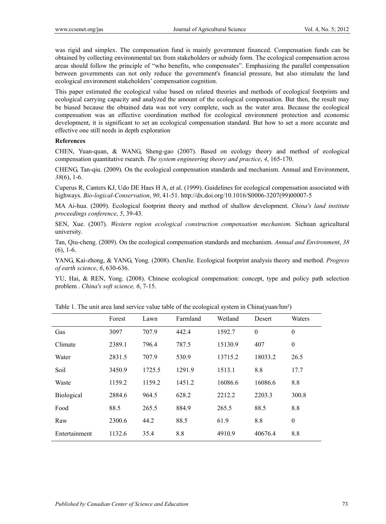was rigid and simplex. The compensation fund is mainly government financed. Compensation funds can be obtained by collecting environmental tax from stakeholders or subsidy form. The ecological compensation across areas should follow the principle of "who benefits, who compensates". Emphasizing the parallel compensation between governments can not only reduce the government's financial pressure, but also stimulate the land ecological environment stakeholders' compensation cognition.

This paper estimated the ecological value based on related theories and methods of ecological footprints and ecological carrying capacity and analyzed the amount of the ecological compensation. But then, the result may be biased because the obtained data was not very complete, such as the water area. Because the ecological compensation was an effective coordination method for ecological environment protection and economic development, it is significant to set an ecological compensation standard. But how to set a more accurate and effective one still needs in depth exploration

#### **References**

CHEN, Yuan-quan, & WANG, Sheng-gao (2007). Based on ecology theory and method of ecological compensation quantitative rsearch. *The system engineering theory and practice*, *4*, 165-170.

CHENG, Tan-qiu. (2009). On the ecological compensation standards and mechanism. Annual and Environment, *38*(6), 1-6.

Cuperus R, Canters KJ, Udo DE Haes H A, et al. (1999). Guidelines for ecological compensation associated with highways. *Bio-logical-Conservation*, *90*, 41-51. http://dx.doi.org/10.1016/S0006-3207(99)00007-5

MA Ai-hua. (2009). Ecological footprint theory and method of shallow development. *China's land institute proceedings conference*, *5*, 39-43.

SEN, Xue. (2007). *Western region ecological construction compensation mechanism.* Sichuan agricultural university.

Tan, Qiu-cheng. (2009). On the ecological compensation standards and mechanism. *Annual and Environment*, *38* (6), 1-6.

YANG, Kai-zhong, & YANG, Yong. (2008). ChenJie. Ecological footprint analysis theory and method. *Progress of earth science*, *6*, 630-636.

YU, Hai, & REN, Yong. (2008). Chinese ecological compensation: concept, type and policy path selection problem . *China's soft science, 6*, 7-15.

|                   | Forest | Lawn   | Farmland | Wetland | Desert           | Waters           |
|-------------------|--------|--------|----------|---------|------------------|------------------|
| Gas               | 3097   | 707.9  | 442.4    | 1592.7  | $\boldsymbol{0}$ | $\boldsymbol{0}$ |
| Climate           | 2389.1 | 796.4  | 787.5    | 15130.9 | 407              | $\theta$         |
| Water             | 2831.5 | 707.9  | 530.9    | 13715.2 | 18033.2          | 26.5             |
| Soil              | 3450.9 | 1725.5 | 1291.9   | 1513.1  | 8.8              | 17.7             |
| Waste             | 1159.2 | 1159.2 | 1451.2   | 16086.6 | 16086.6          | 8.8              |
| <b>Biological</b> | 2884.6 | 964.5  | 628.2    | 2212.2  | 2203.3           | 300.8            |
| Food              | 88.5   | 265.5  | 884.9    | 265.5   | 88.5             | 8.8              |
| Raw               | 2300.6 | 44.2   | 88.5     | 61.9    | 8.8              | $\mathbf{0}$     |
| Entertainment     | 1132.6 | 35.4   | 8.8      | 4910.9  | 40676.4          | 8.8              |

Table 1. The unit area land service value table of the ecological system in China(yuan/hm²)